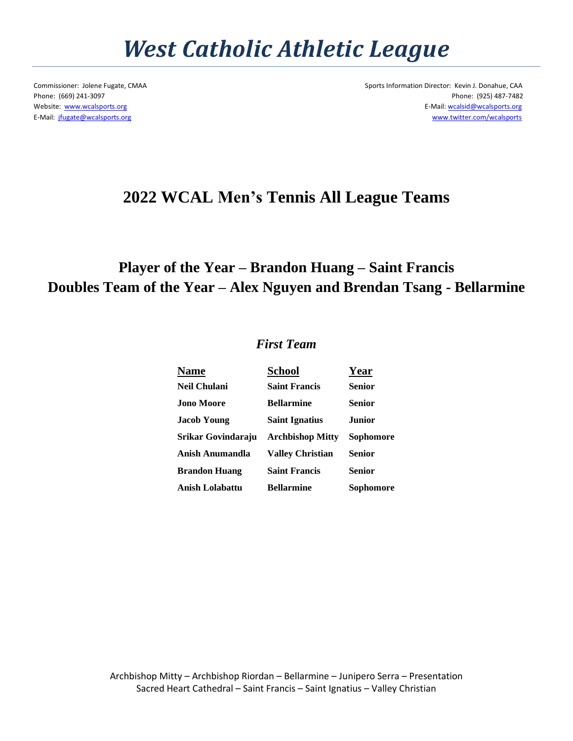## *West Catholic Athletic League*

Commissioner: Jolene Fugate, CMAA Sports Information Director: Kevin J. Donahue, CAA Phone: (669) 241-3097 Phone: (925) 487-7482 Website: [www.wcalsports.org](http://www.wcalsports.org/) examples and the example of the example of the example of the E-Mail: wcalsid@wcalsports.org E-Mail: wcalsid@wcalsports.org E-Mail: [jfugate@wcalsports.org](mailto:jfugate@wcalsports.org) [www.twitter.com/wcalsports](http://www.twitter.com/wcalsports) 

### **2022 WCAL Men's Tennis All League Teams**

### **Player of the Year – Brandon Huang – Saint Francis Doubles Team of the Year – Alex Nguyen and Brendan Tsang - Bellarmine**

#### *First Team*

| <b>Name</b>        | <b>School</b>           | Year          |
|--------------------|-------------------------|---------------|
| Neil Chulani       | <b>Saint Francis</b>    | <b>Senior</b> |
| Jono Moore         | <b>Bellarmine</b>       | Senior        |
| Jacob Young        | <b>Saint Ignatius</b>   | <b>Junior</b> |
| Srikar Govindaraju | <b>Archbishop Mitty</b> | Sophomore     |
| Anish Anumandla    | <b>Valley Christian</b> | <b>Senior</b> |
| Brandon Huang      | <b>Saint Francis</b>    | <b>Senior</b> |
| Anish Lolabattu    | <b>Bellarmine</b>       | Sophomore     |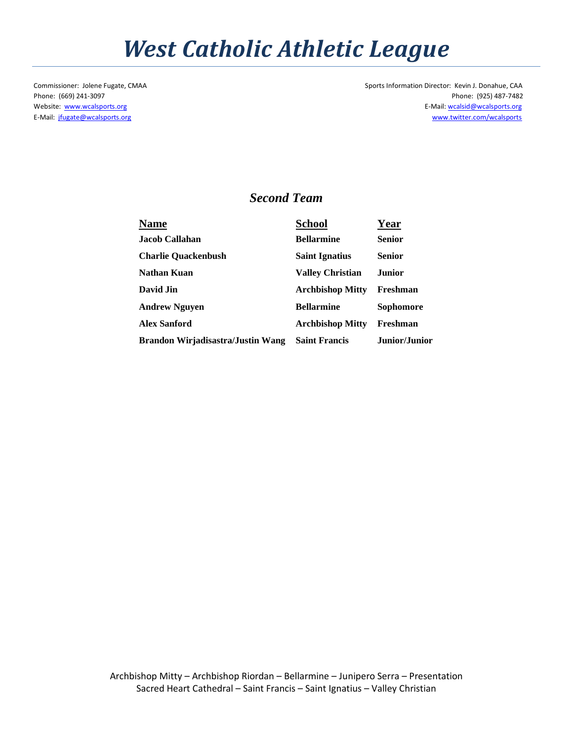# *West Catholic Athletic League*

Commissioner: Jolene Fugate, CMAA Sports Information Director: Kevin J. Donahue, CAA Phone: (669) 241-3097 Phone: (925) 487-7482 Website: [www.wcalsports.org](http://www.wcalsports.org/) examples are a set of the set of the set of the set of the E-Mail: wcalsid@wcalsports.org E-Mail: wcalsid@wcalsports.org E-Mail: [jfugate@wcalsports.org](mailto:jfugate@wcalsports.org) [www.twitter.com/wcalsports](http://www.twitter.com/wcalsports) 

#### *Second Team*

| Name                              | <b>School</b>           | Year             |
|-----------------------------------|-------------------------|------------------|
| Jacob Callahan                    | <b>Bellarmine</b>       | <b>Senior</b>    |
| <b>Charlie Quackenbush</b>        | <b>Saint Ignatius</b>   | <b>Senior</b>    |
| Nathan Kuan                       | <b>Valley Christian</b> | Junior           |
| David Jin                         | <b>Archbishop Mitty</b> | Freshman         |
| <b>Andrew Nguyen</b>              | <b>Bellarmine</b>       | <b>Sophomore</b> |
| <b>Alex Sanford</b>               | <b>Archbishop Mitty</b> | Freshman         |
| Brandon Wirjadisastra/Justin Wang | <b>Saint Francis</b>    | Junior/Junior    |